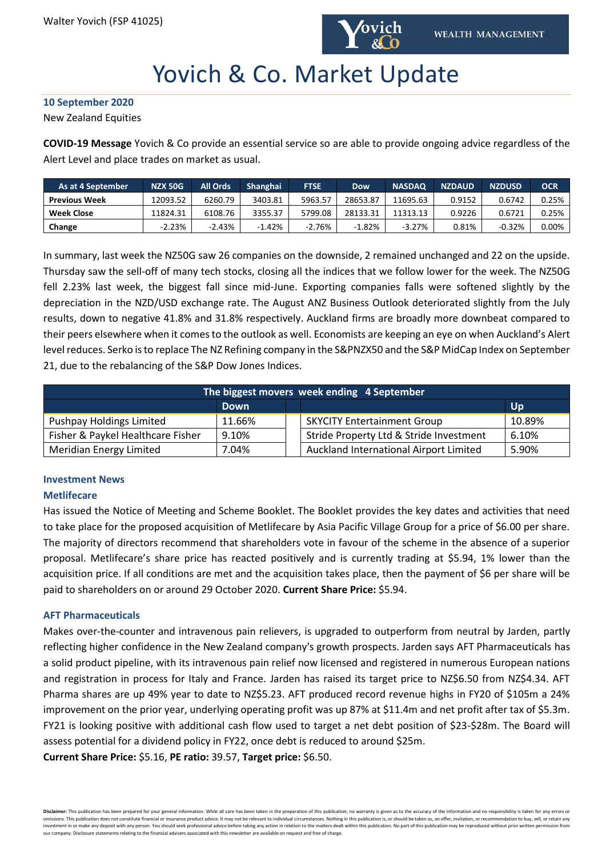

# Yovich & Co. Market Update

**10 September 2020**

New Zealand Equities

**COVID-19 Message** Yovich & Co provide an essential service so are able to provide ongoing advice regardless of the Alert Level and place trades on market as usual.

| As at 4 September    | <b>NZX 50G</b> | <b>All Ords</b> | <b>Shanghai</b> | <b>FTSE</b> | <b>Dow</b> | <b>NASDAQ</b> | <b>NZDAUD</b> | <b>NZDUSD</b> | OCR   |
|----------------------|----------------|-----------------|-----------------|-------------|------------|---------------|---------------|---------------|-------|
| <b>Previous Week</b> | !2093.52       | 6260.79         | 3403.81         | 5963.57     | 28653.87   | 11695.63      | 0.9152        | 0.6742        | 0.25% |
| <b>Week Close</b>    | 11824.31       | 6108.76         | 3355.37         | 5799.08     | 28133.31   | 11313.13      | 0.9226        | 0.6721        | 0.25% |
| Change               | $-2.23%$       | $-2.43%$        | $-1.42%$        | $-2.76%$    | -1.82%     | $-3.27%$      | 0.81%         | $-0.32%$      | 0.00% |

In summary, last week the NZ50G saw 26 companies on the downside, 2 remained unchanged and 22 on the upside. Thursday saw the sell-off of many tech stocks, closing all the indices that we follow lower for the week. The NZ50G fell 2.23% last week, the biggest fall since mid-June. Exporting companies falls were softened slightly by the depreciation in the NZD/USD exchange rate. The August ANZ Business Outlook deteriorated slightly from the July results, down to negative 41.8% and 31.8% respectively. Auckland firms are broadly more downbeat compared to their peers elsewhere when it comes to the outlook as well. Economists are keeping an eye on when Auckland's Alert level reduces. Serko is to replace The NZ Refining company in the S&PNZX50 and the S&P MidCap Index on September 21, due to the rebalancing of the S&P Dow Jones Indices.

| The biggest movers week ending 4 September |             |  |                                         |           |  |  |  |  |  |
|--------------------------------------------|-------------|--|-----------------------------------------|-----------|--|--|--|--|--|
|                                            | <b>Down</b> |  |                                         | <b>Up</b> |  |  |  |  |  |
| <b>Pushpay Holdings Limited</b>            | 11.66%      |  | <b>SKYCITY Entertainment Group</b>      | 10.89%    |  |  |  |  |  |
| Fisher & Paykel Healthcare Fisher          | 9.10%       |  | Stride Property Ltd & Stride Investment | 6.10%     |  |  |  |  |  |
| Meridian Energy Limited                    | 7.04%       |  | Auckland International Airport Limited  | 5.90%     |  |  |  |  |  |

# **Investment News**

### **Metlifecare**

Has issued the Notice of Meeting and Scheme Booklet. The Booklet provides the key dates and activities that need to take place for the proposed acquisition of Metlifecare by Asia Pacific Village Group for a price of \$6.00 per share. The majority of directors recommend that shareholders vote in favour of the scheme in the absence of a superior proposal. Metlifecare's share price has reacted positively and is currently trading at \$5.94, 1% lower than the acquisition price. If all conditions are met and the acquisition takes place, then the payment of \$6 per share will be paid to shareholders on or around 29 October 2020. **Current Share Price:** \$5.94.

### **AFT Pharmaceuticals**

Makes over-the-counter and intravenous pain relievers, is upgraded to outperform from neutral by Jarden, partly reflecting higher confidence in the New Zealand company's growth prospects. Jarden says AFT Pharmaceuticals has a solid product pipeline, with its intravenous pain relief now licensed and registered in numerous European nations and registration in process for Italy and France. Jarden has raised its target price to NZ\$6.50 from NZ\$4.34. AFT Pharma shares are up 49% year to date to NZ\$5.23. AFT produced record revenue highs in FY20 of \$105m a 24% improvement on the prior year, underlying operating profit was up 87% at \$11.4m and net profit after tax of \$5.3m. FY21 is looking positive with additional cash flow used to target a net debt position of \$23-\$28m. The Board will assess potential for a dividend policy in FY22, once debt is reduced to around \$25m.

**Current Share Price:** \$5.16, **PE ratio:** 39.57, **Target price:** \$6.50.